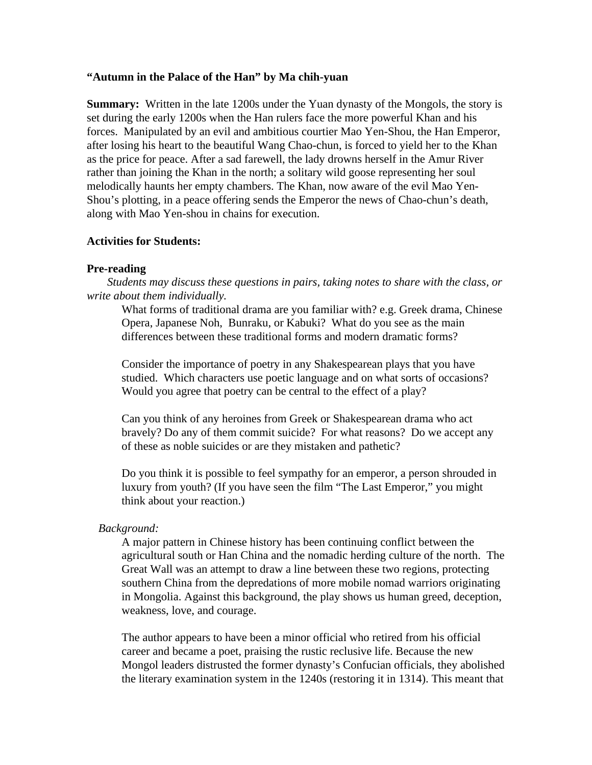#### **"Autumn in the Palace of the Han" by Ma chih-yuan**

**Summary:** Written in the late 1200s under the Yuan dynasty of the Mongols, the story is set during the early 1200s when the Han rulers face the more powerful Khan and his forces. Manipulated by an evil and ambitious courtier Mao Yen-Shou, the Han Emperor, after losing his heart to the beautiful Wang Chao-chun, is forced to yield her to the Khan as the price for peace. After a sad farewell, the lady drowns herself in the Amur River rather than joining the Khan in the north; a solitary wild goose representing her soul melodically haunts her empty chambers. The Khan, now aware of the evil Mao Yen-Shou's plotting, in a peace offering sends the Emperor the news of Chao-chun's death, along with Mao Yen-shou in chains for execution.

## **Activities for Students:**

#### **Pre-reading**

*Students may discuss these questions in pairs, taking notes to share with the class, or write about them individually.*

What forms of traditional drama are you familiar with? e.g. Greek drama, Chinese Opera, Japanese Noh, Bunraku, or Kabuki? What do you see as the main differences between these traditional forms and modern dramatic forms?

Consider the importance of poetry in any Shakespearean plays that you have studied. Which characters use poetic language and on what sorts of occasions? Would you agree that poetry can be central to the effect of a play?

Can you think of any heroines from Greek or Shakespearean drama who act bravely? Do any of them commit suicide? For what reasons? Do we accept any of these as noble suicides or are they mistaken and pathetic?

Do you think it is possible to feel sympathy for an emperor, a person shrouded in luxury from youth? (If you have seen the film "The Last Emperor," you might think about your reaction.)

## *Background:*

A major pattern in Chinese history has been continuing conflict between the agricultural south or Han China and the nomadic herding culture of the north. The Great Wall was an attempt to draw a line between these two regions, protecting southern China from the depredations of more mobile nomad warriors originating in Mongolia. Against this background, the play shows us human greed, deception, weakness, love, and courage.

The author appears to have been a minor official who retired from his official career and became a poet, praising the rustic reclusive life. Because the new Mongol leaders distrusted the former dynasty's Confucian officials, they abolished the literary examination system in the 1240s (restoring it in 1314). This meant that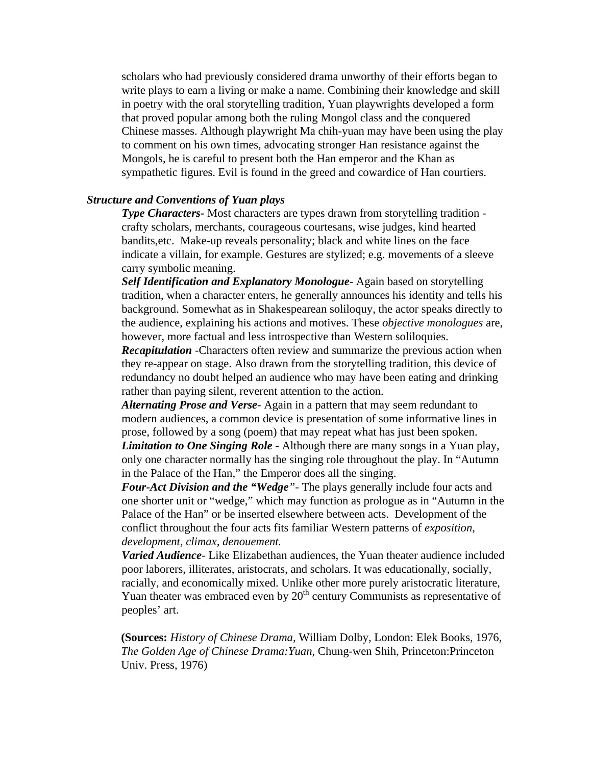scholars who had previously considered drama unworthy of their efforts began to write plays to earn a living or make a name. Combining their knowledge and skill in poetry with the oral storytelling tradition, Yuan playwrights developed a form that proved popular among both the ruling Mongol class and the conquered Chinese masses. Although playwright Ma chih-yuan may have been using the play to comment on his own times, advocating stronger Han resistance against the Mongols, he is careful to present both the Han emperor and the Khan as sympathetic figures. Evil is found in the greed and cowardice of Han courtiers.

#### *Structure and Conventions of Yuan plays*

*Type Characters***-** Most characters are types drawn from storytelling tradition crafty scholars, merchants, courageous courtesans, wise judges, kind hearted bandits,etc. Make-up reveals personality; black and white lines on the face indicate a villain, for example. Gestures are stylized; e.g. movements of a sleeve carry symbolic meaning.

*Self Identification and Explanatory Monologue*- Again based on storytelling tradition, when a character enters, he generally announces his identity and tells his background. Somewhat as in Shakespearean soliloquy, the actor speaks directly to the audience, explaining his actions and motives. These *objective monologues* are, however, more factual and less introspective than Western soliloquies.

*Recapitulation -*Characters often review and summarize the previous action when they re-appear on stage. Also drawn from the storytelling tradition, this device of redundancy no doubt helped an audience who may have been eating and drinking rather than paying silent, reverent attention to the action.

*Alternating Prose and Verse-* Again in a pattern that may seem redundant to modern audiences, a common device is presentation of some informative lines in prose, followed by a song (poem) that may repeat what has just been spoken.

*Limitation to One Singing Role* - Although there are many songs in a Yuan play, only one character normally has the singing role throughout the play. In "Autumn in the Palace of the Han," the Emperor does all the singing.

*Four-Act Division and the "Wedge"-* The plays generally include four acts and one shorter unit or "wedge," which may function as prologue as in "Autumn in the Palace of the Han" or be inserted elsewhere between acts. Development of the conflict throughout the four acts fits familiar Western patterns of *exposition, development, climax, denouement.*

*Varied Audience-* Like Elizabethan audiences, the Yuan theater audience included poor laborers, illiterates, aristocrats, and scholars. It was educationally, socially, racially, and economically mixed. Unlike other more purely aristocratic literature, Yuan theater was embraced even by  $20<sup>th</sup>$  century Communists as representative of peoples' art.

**(Sources:** *History of Chinese Drama,* William Dolby, London: Elek Books, 1976, *The Golden Age of Chinese Drama:Yuan,* Chung-wen Shih, Princeton:Princeton Univ. Press, 1976)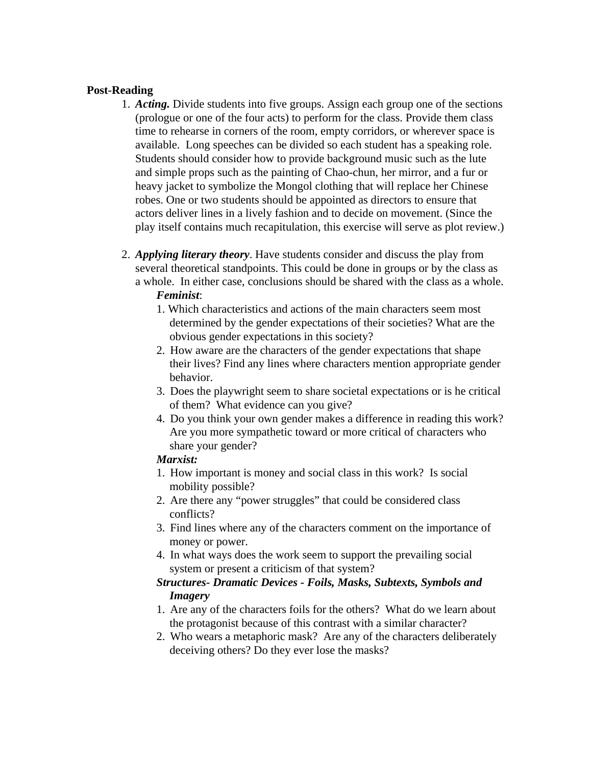## **Post-Reading**

- 1. *Acting.* Divide students into five groups. Assign each group one of the sections (prologue or one of the four acts) to perform for the class. Provide them class time to rehearse in corners of the room, empty corridors, or wherever space is available. Long speeches can be divided so each student has a speaking role. Students should consider how to provide background music such as the lute and simple props such as the painting of Chao-chun, her mirror, and a fur or heavy jacket to symbolize the Mongol clothing that will replace her Chinese robes. One or two students should be appointed as directors to ensure that actors deliver lines in a lively fashion and to decide on movement. (Since the play itself contains much recapitulation, this exercise will serve as plot review.)
- 2. *Applying literary theory*. Have students consider and discuss the play from several theoretical standpoints. This could be done in groups or by the class as a whole. In either case, conclusions should be shared with the class as a whole. *Feminist*:
	- 1. Which characteristics and actions of the main characters seem most determined by the gender expectations of their societies? What are the obvious gender expectations in this society?
	- 2. How aware are the characters of the gender expectations that shape their lives? Find any lines where characters mention appropriate gender behavior.
	- 3. Does the playwright seem to share societal expectations or is he critical of them? What evidence can you give?
	- 4. Do you think your own gender makes a difference in reading this work? Are you more sympathetic toward or more critical of characters who share your gender?

#### *Marxist:*

- 1. How important is money and social class in this work? Is social mobility possible?
- 2. Are there any "power struggles" that could be considered class conflicts?
- 3. Find lines where any of the characters comment on the importance of money or power.
- 4. In what ways does the work seem to support the prevailing social system or present a criticism of that system?

# *Structures- Dramatic Devices - Foils, Masks, Subtexts, Symbols and Imagery*

- 1. Are any of the characters foils for the others? What do we learn about the protagonist because of this contrast with a similar character?
- 2. Who wears a metaphoric mask? Are any of the characters deliberately deceiving others? Do they ever lose the masks?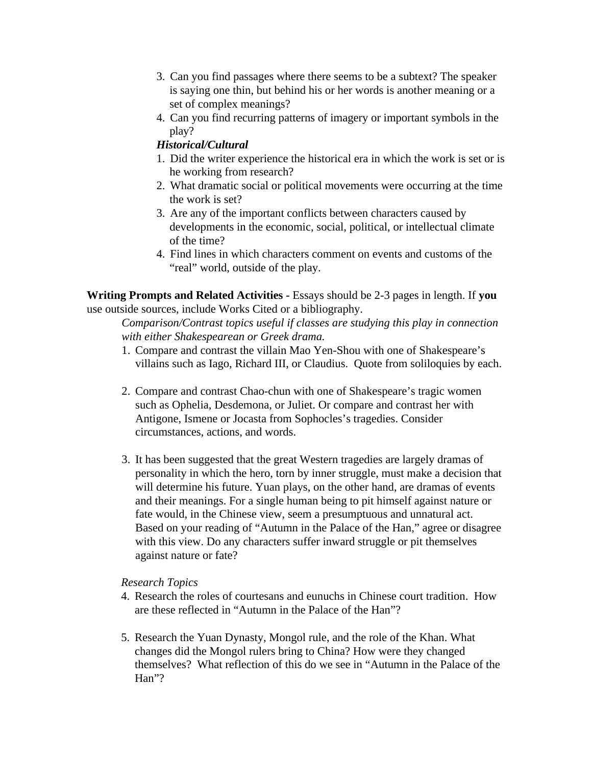- 3. Can you find passages where there seems to be a subtext? The speaker is saying one thin, but behind his or her words is another meaning or a set of complex meanings?
- 4. Can you find recurring patterns of imagery or important symbols in the play?

# *Historical/Cultural*

- 1. Did the writer experience the historical era in which the work is set or is he working from research?
- 2. What dramatic social or political movements were occurring at the time the work is set?
- 3. Are any of the important conflicts between characters caused by developments in the economic, social, political, or intellectual climate of the time?
- 4. Find lines in which characters comment on events and customs of the "real" world, outside of the play.

**Writing Prompts and Related Activities -** Essays should be 2-3 pages in length. If **you**  use outside sources, include Works Cited or a bibliography.

*Comparison/Contrast topics useful if classes are studying this play in connection with either Shakespearean or Greek drama.*

- 1. Compare and contrast the villain Mao Yen-Shou with one of Shakespeare's villains such as Iago, Richard III, or Claudius. Quote from soliloquies by each.
- 2. Compare and contrast Chao-chun with one of Shakespeare's tragic women such as Ophelia, Desdemona, or Juliet. Or compare and contrast her with Antigone, Ismene or Jocasta from Sophocles's tragedies. Consider circumstances, actions, and words.
- 3. It has been suggested that the great Western tragedies are largely dramas of personality in which the hero, torn by inner struggle, must make a decision that will determine his future. Yuan plays, on the other hand, are dramas of events and their meanings. For a single human being to pit himself against nature or fate would, in the Chinese view, seem a presumptuous and unnatural act. Based on your reading of "Autumn in the Palace of the Han," agree or disagree with this view. Do any characters suffer inward struggle or pit themselves against nature or fate?

## *Research Topics*

- 4. Research the roles of courtesans and eunuchs in Chinese court tradition. How are these reflected in "Autumn in the Palace of the Han"?
- 5. Research the Yuan Dynasty, Mongol rule, and the role of the Khan. What changes did the Mongol rulers bring to China? How were they changed themselves? What reflection of this do we see in "Autumn in the Palace of the Han"?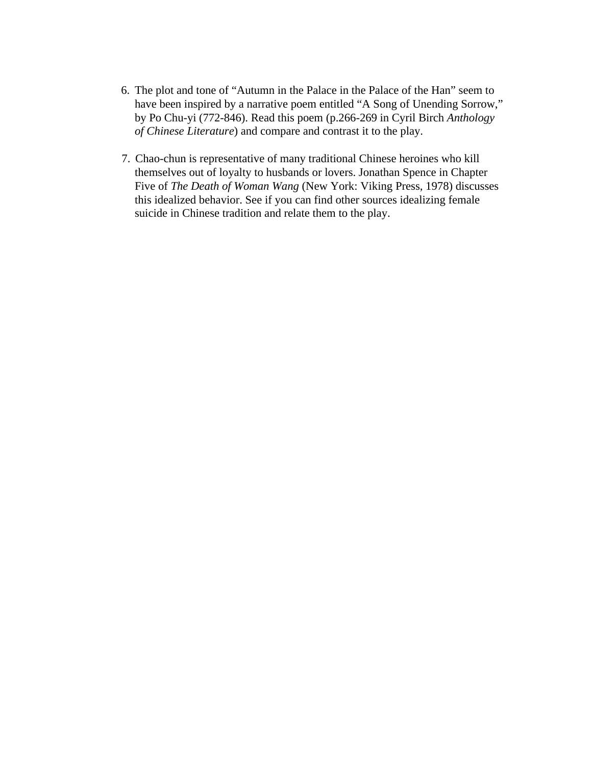- 6. The plot and tone of "Autumn in the Palace in the Palace of the Han" seem to have been inspired by a narrative poem entitled "A Song of Unending Sorrow," by Po Chu-yi (772-846). Read this poem (p.266-269 in Cyril Birch *Anthology of Chinese Literature*) and compare and contrast it to the play.
- 7. Chao-chun is representative of many traditional Chinese heroines who kill themselves out of loyalty to husbands or lovers. Jonathan Spence in Chapter Five of *The Death of Woman Wang* (New York: Viking Press, 1978) discusses this idealized behavior. See if you can find other sources idealizing female suicide in Chinese tradition and relate them to the play.